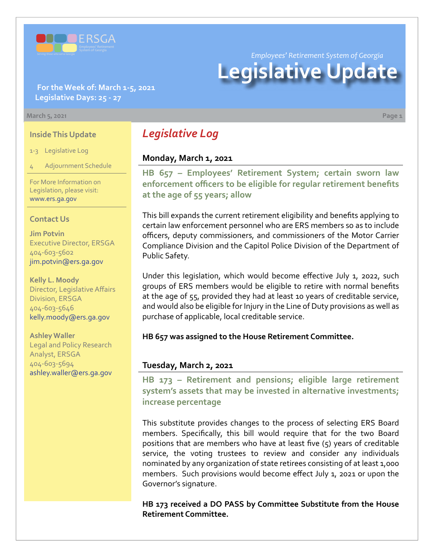

**For the Week of: March 1-5, 2021 Legislative Days: 25 - 27**

#### **March 5, 2021 Page 1**

#### **Inside This Update**

1-3 Legislative Log

4 Adjournment Schedule

For More Information on Legislation, please visit: [www.ers.ga.gov](http://www.ers.ga.gov/default.aspx)

#### **Contact Us**

**Jim Potvin** Executive Director, ERSGA 404-603-5602 jim.potvin@ers.ga.gov

**Kelly L. Moody** Director, Legislative Affairs Division, ERSGA 404-603-5646 kelly.moody@ers.ga.gov

**Ashley Waller** Legal and Policy Research Analyst, ERSGA 404-603-5694 ashley.waller@ers.ga.gov

# *Legislative Log*

# **Monday, March 1, 2021**

**HB 657 – Employees' Retirement System; certain sworn law [enforcement officers to be eligible for regular retirement benefits](https://www.legis.ga.gov/legislation/60125)  at the age of 55 years; allow**

This bill expands the current retirement eligibility and benefits applying to certain law enforcement personnel who are ERS members so as to include officers, deputy commissioners, and commissioners of the Motor Carrier Compliance Division and the Capitol Police Division of the Department of Public Safety.

Under this legislation, which would become effective July 1, 2022, such groups of ERS members would be eligible to retire with normal benefits at the age of 55, provided they had at least 10 years of creditable service, and would also be eligible for Injury in the Line of Duty provisions as well as purchase of applicable, local creditable service.

**HB 657 was assigned to the House Retirement Committee.**

#### **Tuesday, March 2, 2021**

**[HB 173](https://www.legis.ga.gov/legislation/59095) [–](http://www.legis.ga.gov/legislation/en-US/Display/20192020/HB/67) [Retirement and pensions; eligible large retirement](https://www.legis.ga.gov/legislation/59095)  system's assets that may be invested in alternative investments; increase percentage**

This substitute provides changes to the process of selecting ERS Board members. Specifically, this bill would require that for the two Board positions that are members who have at least five (5) years of creditable service, the voting trustees to review and consider any individuals nominated by any organization of state retirees consisting of at least 1,000 members. Such provisions would become effect July 1, 2021 or upon the Governor's signature.

**HB 173 received a DO PASS by Committee Substitute from the House Retirement Committee.**

*Employees' Retirement System of Georgia*

# **Legislative Update**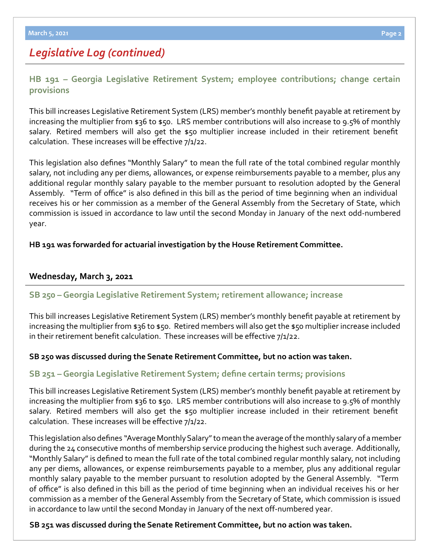# *Legislative Log (continued)*

**[HB 191 – Georgia Legislative Retirement System; employee contributions; change certain](https://www.legis.ga.gov/legislation/59115)  provisi[ons](http://www.legis.ga.gov/legislation/en-US/Display/20192020/HB/67)**

This bill increases Legislative Retirement System (LRS) member's monthly benefit payable at retirement by increasing the multiplier from \$36 to \$50. LRS member contributions will also increase to 9.5% of monthly salary. Retired members will also get the \$50 multiplier increase included in their retirement benefit calculation. These increases will be effective 7/1/22.

This legislation also defines "Monthly Salary" to mean the full rate of the total combined regular monthly salary, not including any per diems, allowances, or expense reimbursements payable to a member, plus any additional regular monthly salary payable to the member pursuant to resolution adopted by the General Assembly. "Term of office" is also defined in this bill as the period of time beginning when an individual receives his or her commission as a member of the General Assembly from the Secretary of State, which commission is issued in accordance to law until the second Monday in January of the next odd-numbered year.

# **HB 191 was forwarded for actuarial investigation by the House Retirement Committee.**

# **Wednesday, March 3, 2021**

# **[SB 250 – Georgia Legislative Retirement System; retirement allowance; increase](https://www.legis.ga.gov/legislation/60053)**

This bill increases Legislative Retirement System (LRS) member's monthly benefit payable at retirement by increasing the multiplier from \$36 to \$50. Retired members will also get the \$50 multiplier increase included in their retirement benefit calculation. These increases will be effective 7/1/22.

# **SB 250 was discussed during the Senate Retirement Committee, but no action was taken.**

# **[SB 251 –Georgia Legislative Retirement System; define certain terms; provisions](https://www.legis.ga.gov/legislation/60054)**

This bill increases Legislative Retirement System (LRS) member's monthly benefit payable at retirement by increasing the multiplier from \$36 to \$50. LRS member contributions will also increase to 9.5% of monthly salary. Retired members will also get the \$50 multiplier increase included in their retirement benefit calculation. These increases will be effective 7/1/22.

This legislation also defines "Average Monthly Salary" to mean the average of the monthly salary of a member during the 24 consecutive months of membership service producing the highest such average. Additionally, "Monthly Salary" is defined to mean the full rate of the total combined regular monthly salary, not including any per diems, allowances, or expense reimbursements payable to a member, plus any additional regular monthly salary payable to the member pursuant to resolution adopted by the General Assembly. "Term of office" is also defined in this bill as the period of time beginning when an individual receives his or her commission as a member of the General Assembly from the Secretary of State, which commission is issued in accordance to law until the second Monday in January of the next off-numbered year.

#### **SB 251 was discussed during the Senate Retirement Committee, but no action was taken.**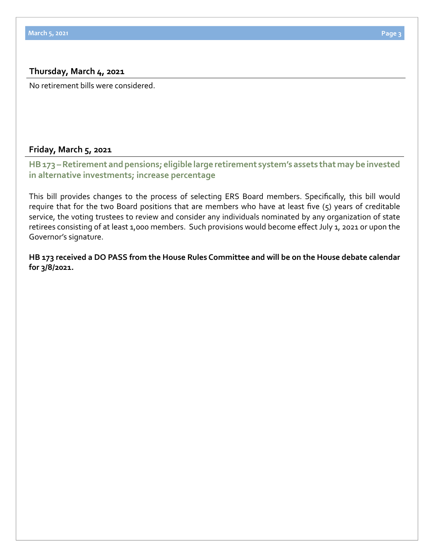#### **Thursday, March 4, 2021**

No retirement bills were considered.

#### **Friday, March 5, 2021**

**[HB 173 – Retirement and pensions; eligible large retirement system's assets that may be invested](https://www.legis.ga.gov/legislation/59095)  in alternative investments; increase percentage**

This bill provides changes to the process of selecting ERS Board members. Specifically, this bill would require that for the two Board positions that are members who have at least five (5) years of creditable service, the voting trustees to review and consider any individuals nominated by any organization of state retirees consisting of at least 1,000 members. Such provisions would become effect July 1, 2021 or upon the Governor's signature.

**HB 173 received a DO PASS from the House Rules Committee and will be on the House debate calendar for 3/8/2021.**